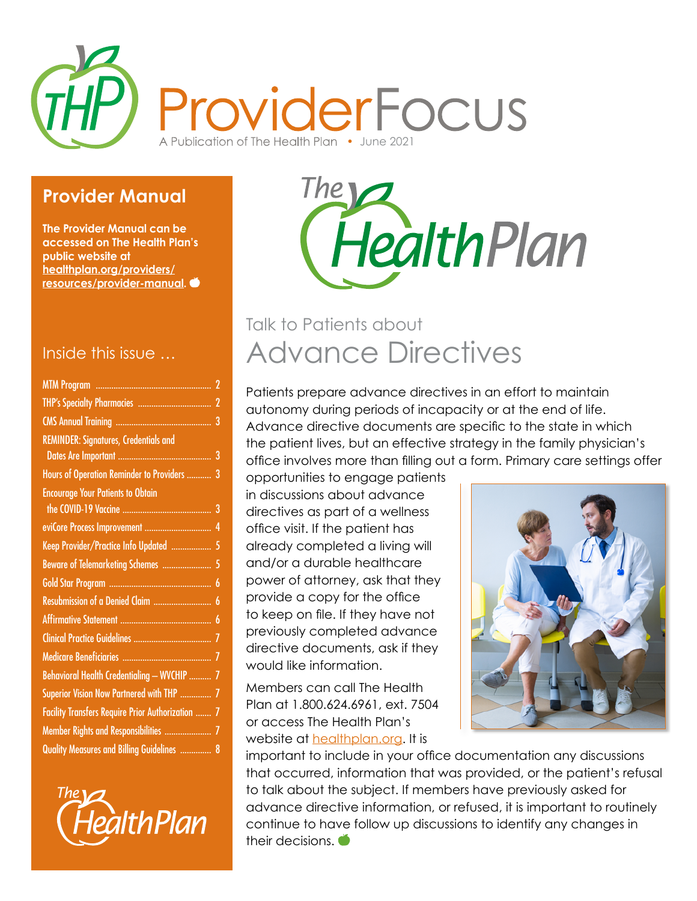

### **Provider Manual**

**The Provider Manual can be accessed on The Health Plan's public website at [healthplan.org/providers/](http://healthplan.org/providers/resources/provider-manual) [resources/provider-manual](http://healthplan.org/providers/resources/provider-manual).** 

#### Inside this issue …

| Hours of Operation Reminder to Providers  3       |
|---------------------------------------------------|
|                                                   |
|                                                   |
|                                                   |
| Keep Provider/Practice Info Updated  5            |
| Beware of Telemarketing Schemes  5                |
|                                                   |
| Resubmission of a Denied Claim  6                 |
|                                                   |
|                                                   |
|                                                   |
| Behavioral Health Credentialing - WVCHIP  7       |
| Superior Vision Now Partnered with THP  7         |
| Facility Transfers Require Prior Authorization  7 |
| Member Rights and Responsibilities  7             |
| Quality Measures and Billing Guidelines  8        |
|                                                   |





# Advance Directives Talk to Patients about

Patients prepare advance directives in an effort to maintain autonomy during periods of incapacity or at the end of life. Advance directive documents are specific to the state in which the patient lives, but an effective strategy in the family physician's office involves more than filling out a form. Primary care settings offer

opportunities to engage patients in discussions about advance directives as part of a wellness office visit. If the patient has already completed a living will and/or a durable healthcare power of attorney, ask that they provide a copy for the office to keep on file. If they have not previously completed advance directive documents, ask if they would like information.

Members can call The Health Plan at 1.800.624.6961, ext. 7504 or access The Health Plan's website at **healthplan.org**. It is



important to include in your office documentation any discussions that occurred, information that was provided, or the patient's refusal to talk about the subject. If members have previously asked for advance directive information, or refused, it is important to routinely continue to have follow up discussions to identify any changes in their decisions.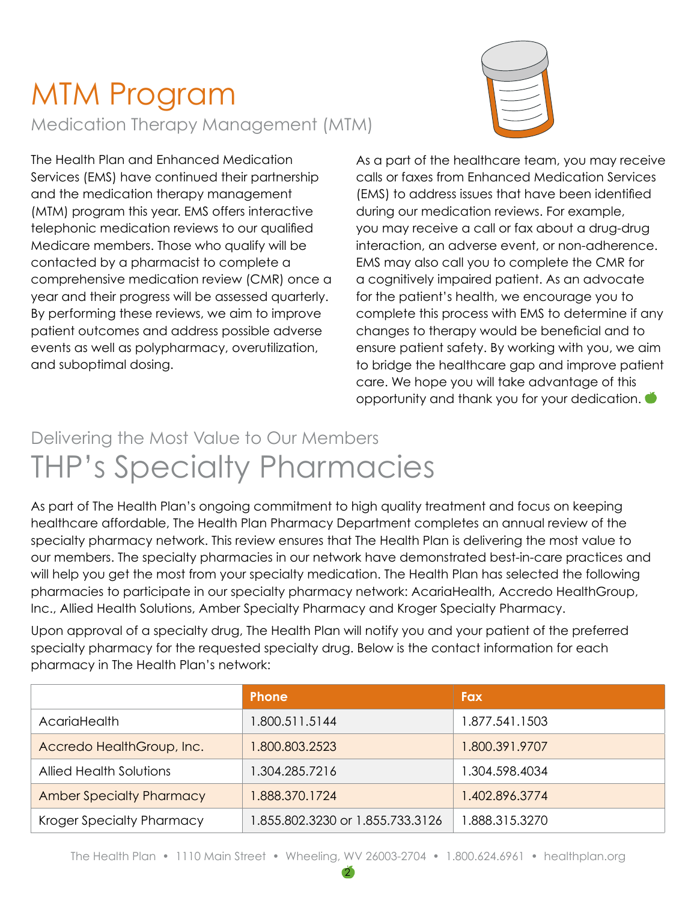# MTM Program Medication Therapy Management (MTM)



The Health Plan and Enhanced Medication Services (EMS) have continued their partnership and the medication therapy management (MTM) program this year. EMS offers interactive telephonic medication reviews to our qualified Medicare members. Those who qualify will be contacted by a pharmacist to complete a comprehensive medication review (CMR) once a year and their progress will be assessed quarterly. By performing these reviews, we aim to improve patient outcomes and address possible adverse events as well as polypharmacy, overutilization, and suboptimal dosing.

As a part of the healthcare team, you may receive calls or faxes from Enhanced Medication Services (EMS) to address issues that have been identified during our medication reviews. For example, you may receive a call or fax about a drug-drug interaction, an adverse event, or non-adherence. EMS may also call you to complete the CMR for a cognitively impaired patient. As an advocate for the patient's health, we encourage you to complete this process with EMS to determine if any changes to therapy would be beneficial and to ensure patient safety. By working with you, we aim to bridge the healthcare gap and improve patient care. We hope you will take advantage of this opportunity and thank you for your dedication.

# THP's Specialty Pharmacies Delivering the Most Value to Our Members

As part of The Health Plan's ongoing commitment to high quality treatment and focus on keeping healthcare affordable, The Health Plan Pharmacy Department completes an annual review of the specialty pharmacy network. This review ensures that The Health Plan is delivering the most value to our members. The specialty pharmacies in our network have demonstrated best-in-care practices and will help you get the most from your specialty medication. The Health Plan has selected the following pharmacies to participate in our specialty pharmacy network: AcariaHealth, Accredo HealthGroup, Inc., Allied Health Solutions, Amber Specialty Pharmacy and Kroger Specialty Pharmacy.

Upon approval of a specialty drug, The Health Plan will notify you and your patient of the preferred specialty pharmacy for the requested specialty drug. Below is the contact information for each pharmacy in The Health Plan's network:

|                                 | <b>Phone</b>                     | <b>Fax</b>     |
|---------------------------------|----------------------------------|----------------|
| <b>AcariaHealth</b>             | 1.800.511.5144                   | 1.877.541.1503 |
| Accredo HealthGroup, Inc.       | 1.800.803.2523                   | 1.800.391.9707 |
| <b>Allied Health Solutions</b>  | 1.304.285.7216                   | 1.304.598.4034 |
| <b>Amber Specialty Pharmacy</b> | 1.888.370.1724                   | 1.402.896.3774 |
| Kroger Specialty Pharmacy       | 1.855.802.3230 or 1.855.733.3126 | 1.888.315.3270 |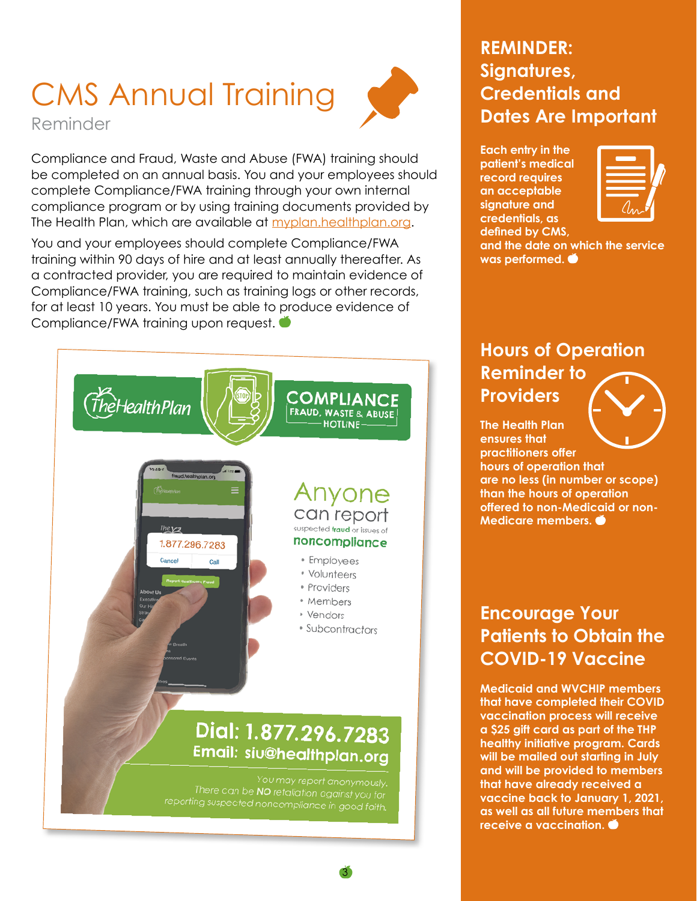# CMS Annual Training



Reminder

Compliance and Fraud, Waste and Abuse (FWA) training should be completed on an annual basis. You and your employees should complete Compliance/FWA training through your own internal compliance program or by using training documents provided by The Health Plan, which are available at [myplan.healthplan.org](http://myplan.healthplan.org).

You and your employees should complete Compliance/FWA training within 90 days of hire and at least annually thereafter. As a contracted provider, you are required to maintain evidence of Compliance/FWA training, such as training logs or other records, for at least 10 years. You must be able to produce evidence of Compliance/FWA training upon request.



3

### **REMINDER: Signatures, Credentials and Dates Are Important**

**Each entry in the patient's medical record requires an acceptable signature and credentials, as defined by CMS,** 



**and the date on which the service was performed.** 

## **Hours of Operation Reminder to Providers**

**The Health Plan ensures that practitioners offer hours of operation that are no less (in number or scope) than the hours of operation offered to non-Medicaid or non-Medicare members.** 

### **Encourage Your Patients to Obtain the COVID-19 Vaccine**

**Medicaid and WVCHIP members that have completed their COVID vaccination process will receive a \$25 gift card as part of the THP healthy initiative program. Cards will be mailed out starting in July and will be provided to members that have already received a vaccine back to January 1, 2021, as well as all future members that receive a vaccination.**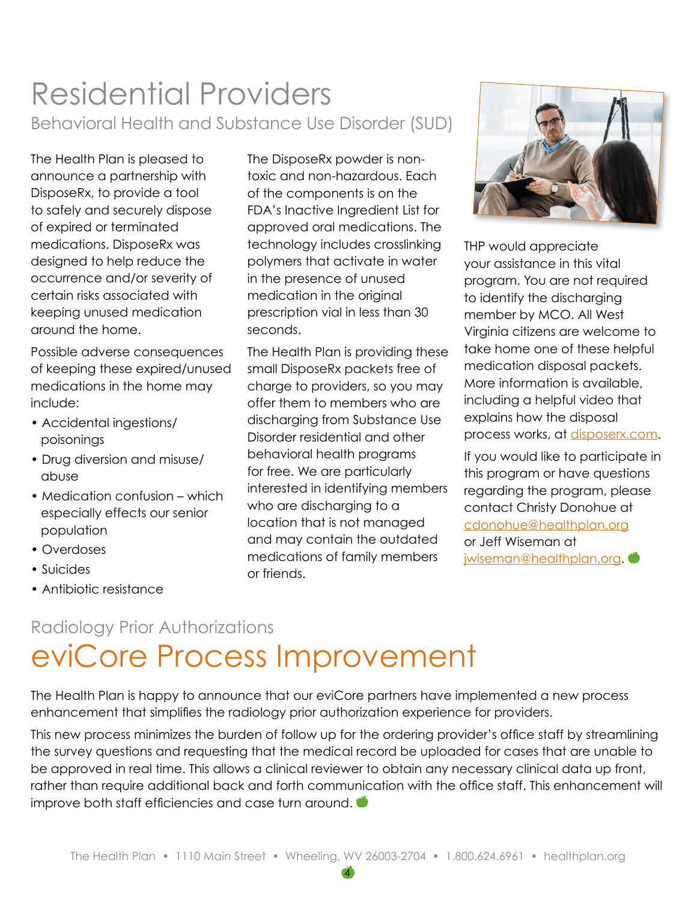# Residential Providers Behavioral Health and Substance Use Disorder (SUD)

The Health Plan is pleased to announce a partnership with DisposeRx, to provide a tool to safely and securely dispose of expired or terminated medications. DisposeRx was designed to help reduce the occurrence and/or severity of certain risks associated with keeping unused medication around the home.

Possible adverse consequences of keeping these expired/unused medications in the home may include:

- Accidental ingestions/ poisonings
- Drug diversion and misuse/ abuse
- Medication confusion which especially effects our senior population
- Overdoses
- Suicides
- Antibiotic resistance

The DisposeRx powder is nontoxic and non-hazardous. Each of the components is on the FDA's Inactive Ingredient List for approved oral medications. The technology includes crosslinking polymers that activate in water in the presence of unused medication in the original prescription vial in less than 30 seconds.

The Health Plan is providing these small DisposeRx packets free of charge to providers, so you may offer them to members who are discharging from Substance Use Disorder residential and other behavioral health programs for free. We are particularly interested in identifying members who are discharging to a location that is not managed and may contain the outdated medications of family members or friends.



THP would appreciate your assistance in this vital program. You are not required to identify the discharging member by MCO. All West Virginia citizens are welcome to take home one of these helpful medication disposal packets. More information is available, including a helpful video that explains how the disposal process works, at [disposerx.com.](http://disposerx.com)

If you would like to participate in this program or have questions regarding the program, please contact Christy Donohue at [cdonohue@healthplan.org](mailto:cdonohue%40healthplan.org?subject=) or Jeff Wiseman at iwiseman@healthplan.org. ●

## eviCore Process Improvement Radiology Prior Authorizations

The Health Plan is happy to announce that our eviCore partners have implemented a new process enhancement that simplifies the radiology prior authorization experience for providers.

This new process minimizes the burden of follow up for the ordering provider's office staff by streamlining the survey questions and requesting that the medical record be uploaded for cases that are unable to be approved in real time. This allows a clinical reviewer to obtain any necessary clinical data up front, rather than require additional back and forth communication with the office staff. This enhancement will improve both staff efficiencies and case turn around.  $\bullet$ 

4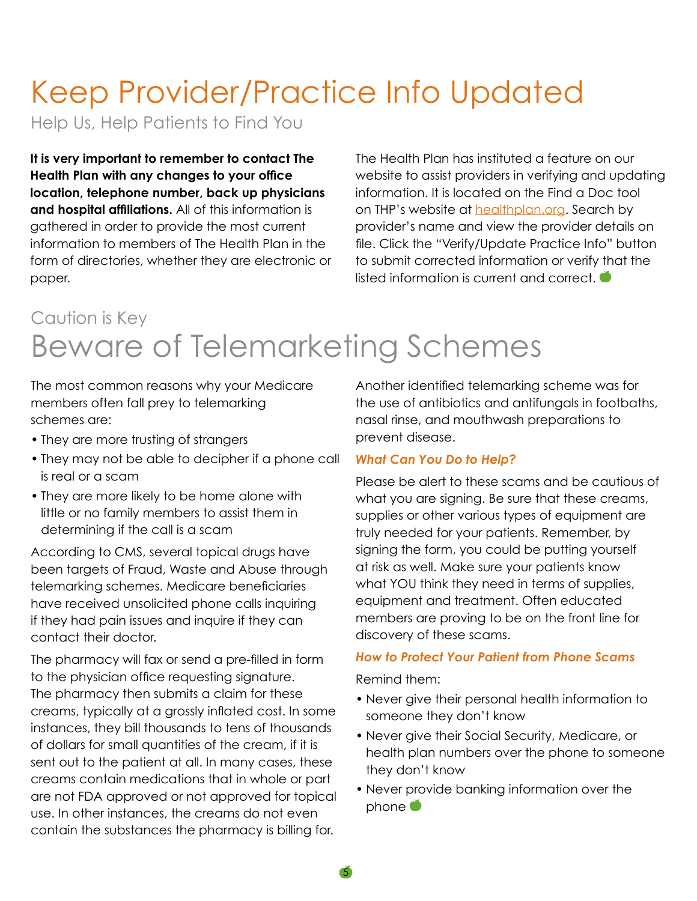# Keep Provider/Practice Info Updated

Help Us, Help Patients to Find You

**It is very important to remember to contact The Health Plan with any changes to your office location, telephone number, back up physicians and hospital affiliations.** All of this information is gathered in order to provide the most current information to members of The Health Plan in the form of directories, whether they are electronic or paper.

The Health Plan has instituted a feature on our website to assist providers in verifying and updating information. It is located on the Find a Doc tool on THP's website at **healthplan.org**. Search by provider's name and view the provider details on file. Click the "Verify/Update Practice Info" button to submit corrected information or verify that the listed information is current and correct.

# Beware of Telemarketing Schemes Caution is Key

The most common reasons why your Medicare members often fall prey to telemarking schemes are:

- They are more trusting of strangers
- They may not be able to decipher if a phone call is real or a scam
- They are more likely to be home alone with little or no family members to assist them in determining if the call is a scam

According to CMS, several topical drugs have been targets of Fraud, Waste and Abuse through telemarking schemes. Medicare beneficiaries have received unsolicited phone calls inquiring if they had pain issues and inquire if they can contact their doctor.

The pharmacy will fax or send a pre-filled in form to the physician office requesting signature. The pharmacy then submits a claim for these creams, typically at a grossly inflated cost. In some instances, they bill thousands to tens of thousands of dollars for small quantities of the cream, if it is sent out to the patient at all. In many cases, these creams contain medications that in whole or part are not FDA approved or not approved for topical use. In other instances, the creams do not even contain the substances the pharmacy is billing for.

Another identified telemarking scheme was for the use of antibiotics and antifungals in footbaths, nasal rinse, and mouthwash preparations to prevent disease.

#### *What Can You Do to Help?*

Please be alert to these scams and be cautious of what you are signing. Be sure that these creams, supplies or other various types of equipment are truly needed for your patients. Remember, by signing the form, you could be putting yourself at risk as well. Make sure your patients know what YOU think they need in terms of supplies, equipment and treatment. Often educated members are proving to be on the front line for discovery of these scams.

#### *How to Protect Your Patient from Phone Scams*

Remind them:

5

- Never give their personal health information to someone they don't know
- Never give their Social Security, Medicare, or health plan numbers over the phone to someone they don't know
- Never provide banking information over the phone  $\bullet$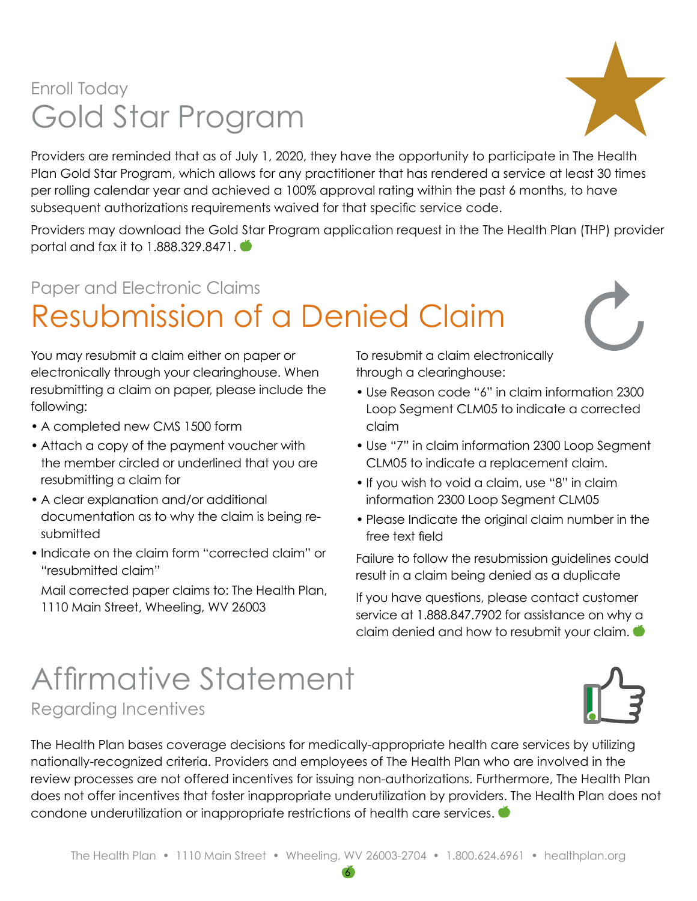## Gold Star Program Enroll Today



Providers are reminded that as of July 1, 2020, they have the opportunity to participate in The Health Plan Gold Star Program, which allows for any practitioner that has rendered a service at least 30 times per rolling calendar year and achieved a 100% approval rating within the past 6 months, to have subsequent authorizations requirements waived for that specific service code.

Providers may download the Gold Star Program application request in the The Health Plan (THP) provider portal and fax it to 1.888.329.8471.

# Resubmission of a Denied Claim Paper and Electronic Claims

You may resubmit a claim either on paper or electronically through your clearinghouse. When resubmitting a claim on paper, please include the following:

- A completed new CMS 1500 form
- Attach a copy of the payment voucher with the member circled or underlined that you are resubmitting a claim for
- A clear explanation and/or additional documentation as to why the claim is being resubmitted
- Indicate on the claim form "corrected claim" or "resubmitted claim"

Mail corrected paper claims to: The Health Plan, 1110 Main Street, Wheeling, WV 26003

To resubmit a claim electronically through a clearinghouse:

- Use Reason code "6" in claim information 2300 Loop Segment CLM05 to indicate a corrected claim
- Use "7" in claim information 2300 Loop Segment CLM05 to indicate a replacement claim.
- If you wish to void a claim, use "8" in claim information 2300 Loop Segment CLM05
- Please Indicate the original claim number in the free text field

Failure to follow the resubmission guidelines could result in a claim being denied as a duplicate

If you have questions, please contact customer service at 1.888.847.7902 for assistance on why a claim denied and how to resubmit your claim.

# Affirmative Statement



Regarding Incentives

The Health Plan bases coverage decisions for medically-appropriate health care services by utilizing nationally-recognized criteria. Providers and employees of The Health Plan who are involved in the review processes are not offered incentives for issuing non-authorizations. Furthermore, The Health Plan does not offer incentives that foster inappropriate underutilization by providers. The Health Plan does not condone underutilization or inappropriate restrictions of health care services.  $\bullet$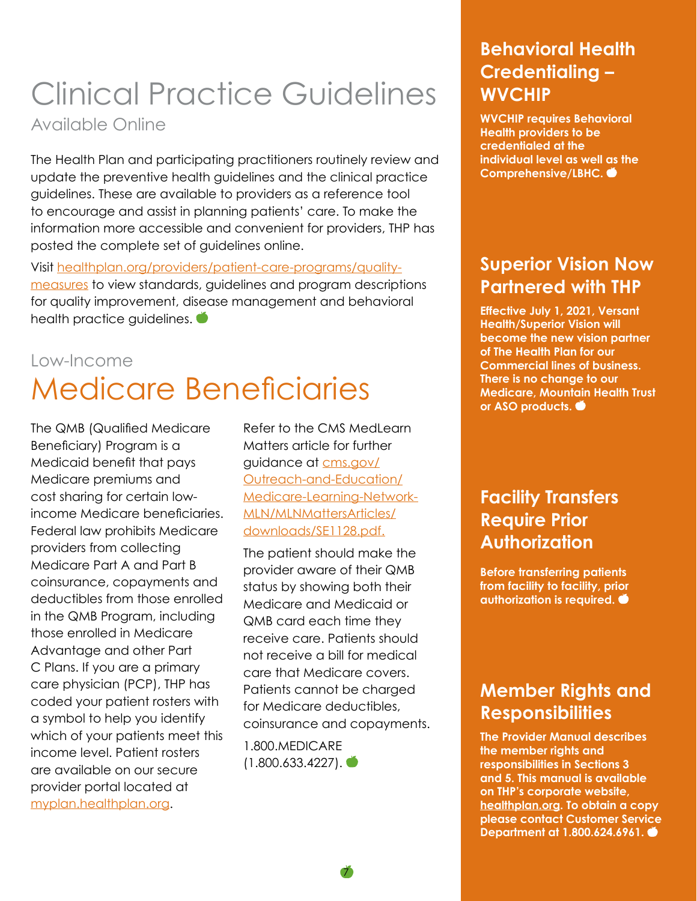# Clinical Practice Guidelines

### Available Online

The Health Plan and participating practitioners routinely review and update the preventive health guidelines and the clinical practice guidelines. These are available to providers as a reference tool to encourage and assist in planning patients' care. To make the information more accessible and convenient for providers, THP has posted the complete set of guidelines online.

Visit [healthplan.org/providers/patient-care-programs/quality](http://healthplan.org/providers/patient-care-programs/quality-measures)[measures](http://healthplan.org/providers/patient-care-programs/quality-measures) to view standards, guidelines and program descriptions for quality improvement, disease management and behavioral health practice guidelines.  $\bullet$ 

## Medicare Beneficiaries Low-Income

The QMB (Qualified Medicare Beneficiary) Program is a Medicaid benefit that pays Medicare premiums and cost sharing for certain lowincome Medicare beneficiaries. Federal law prohibits Medicare providers from collecting Medicare Part A and Part B coinsurance, copayments and deductibles from those enrolled in the QMB Program, including those enrolled in Medicare Advantage and other Part C Plans. If you are a primary care physician (PCP), THP has coded your patient rosters with a symbol to help you identify which of your patients meet this income level. Patient rosters are available on our secure provider portal located at [myplan.healthplan.org](http://myplan.healthplan.org).

Refer to the CMS MedLearn Matters article for further guidance at [cms.gov/](http://cms.gov/Outreach-and-Education/Medicare-Learning-Network-MLN/MLNMattersArticles/downloads/SE1128.pdf) [Outreach-and-Education/](http://cms.gov/Outreach-and-Education/Medicare-Learning-Network-MLN/MLNMattersArticles/downloads/SE1128.pdf) [Medicare-Learning-Network-](http://cms.gov/Outreach-and-Education/Medicare-Learning-Network-MLN/MLNMattersArticles/downloads/SE1128.pdf)[MLN/MLNMattersArticles/](http://cms.gov/Outreach-and-Education/Medicare-Learning-Network-MLN/MLNMattersArticles/downloads/SE1128.pdf) [downloads/SE1128.pdf.](http://cms.gov/Outreach-and-Education/Medicare-Learning-Network-MLN/MLNMattersArticles/downloads/SE1128.pdf)

The patient should make the provider aware of their QMB status by showing both their Medicare and Medicaid or QMB card each time they receive care. Patients should not receive a bill for medical care that Medicare covers. Patients cannot be charged for Medicare deductibles, coinsurance and copayments.

7

1.800.MEDICARE  $(1.800.633.4227)$ .  $\bullet$ 

### **Behavioral Health Credentialing – WVCHIP**

**WVCHIP requires Behavioral Health providers to be credentialed at the individual level as well as the Comprehensive/LBHC.** 

### **Superior Vision Now Partnered with THP**

**Effective July 1, 2021, Versant Health/Superior Vision will become the new vision partner of The Health Plan for our Commercial lines of business. There is no change to our Medicare, Mountain Health Trust or ASO products.** 

### **Facility Transfers Require Prior Authorization**

**Before transferring patients from facility to facility, prior authorization is required.** 

### **Member Rights and Responsibilities**

**The Provider Manual describes the member rights and responsibilities in Sections 3 and 5. This manual is available on THP's corporate website, [healthplan.org](http://healthplan.org). To obtain a copy please contact Customer Service Department at 1.800.624.6961.**